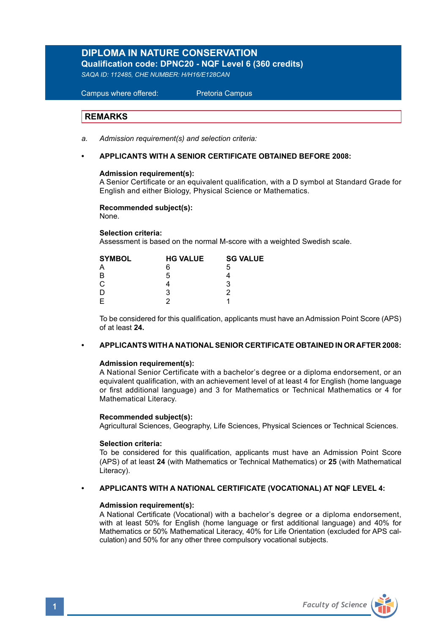## **DIPLOMA IN NATURE CONSERVATION Qualification code: DPNC20 - NQF Level 6 (360 credits)**

*SAQA ID: 112485, CHE NUMBER: H/H16/E128CAN*

 Campus where offered: Pretoria Campus

## **REMARKS**

- *a. Admission requirement(s) and selection criteria:*
- **APPLICANTS WITH A SENIOR CERTIFICATE OBTAINED BEFORE 2008:**

## **Admission requirement(s):**

A Senior Certificate or an equivalent qualification, with a D symbol at Standard Grade for English and either Biology, Physical Science or Mathematics.

### **Recommended subject(s):**

None.

**Selection criteria:**

Assessment is based on the normal M-score with a weighted Swedish scale.

| <b>SYMBOL</b> | <b>HG VALUE</b> | <b>SG VALUE</b> |  |
|---------------|-----------------|-----------------|--|
| А             | ค               | 5               |  |
| B             | 5               |                 |  |
| Ć             |                 | 3               |  |
| D             | 3               | ົ               |  |
| E             |                 |                 |  |
|               |                 |                 |  |

To be considered for this qualification, applicants must have an Admission Point Score (APS) of at least **24.**

## **• APPLICANTS WITH A NATIONAL SENIOR CERTIFICATE OBTAINED IN OR AFTER 2008:**

### **Admission requirement(s):**

 A National Senior Certificate with a bachelor's degree or a diploma endorsement, or an equivalent qualification, with an achievement level of at least 4 for English (home language or first additional language) and 3 for Mathematics or Technical Mathematics or 4 for Mathematical Literacy.

## **Recommended subject(s):**

Agricultural Sciences, Geography, Life Sciences, Physical Sciences or Technical Sciences.

### **Selection criteria:**

To be considered for this qualification, applicants must have an Admission Point Score (APS) of at least **24** (with Mathematics or Technical Mathematics) or **25** (with Mathematical Literacy).

## **• APPLICANTS WITH A NATIONAL CERTIFICATE (VOCATIONAL) AT NQF LEVEL 4:**

## **Admission requirement(s):**

A National Certificate (Vocational) with a bachelor's degree or a diploma endorsement, with at least 50% for English (home language or first additional language) and 40% for Mathematics or 50% Mathematical Literacy, 40% for Life Orientation (excluded for APS calculation) and 50% for any other three compulsory vocational subjects.

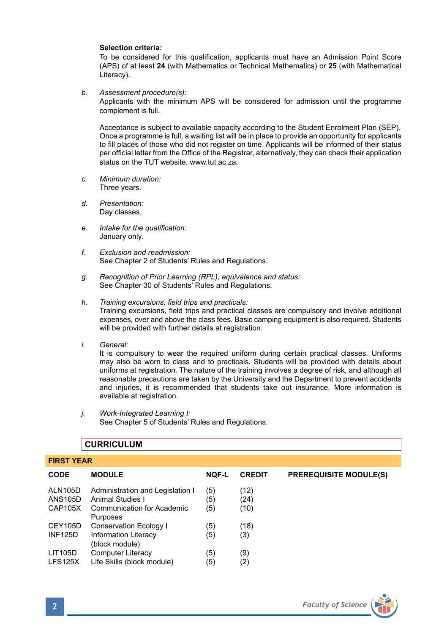## **Selection criteria:**

To be considered for this qualification, applicants must have an Admission Point Score (APS) of at least **24** (with Mathematics or Technical Mathematics) or **25** (with Mathematical Literacy).

*b. Assessment procedure(s):* 

Applicants with the minimum APS will be considered for admission until the programme complement is full.

 Acceptance is subject to available capacity according to the Student Enrolment Plan (SEP). Once a programme is full, a waiting list will be in place to provide an opportunity for applicants to fill places of those who did not register on time. Applicants will be informed of their status per official letter from the Office of the Registrar, alternatively, they can check their application status on the TUT website, www.tut.ac.za.

- *c. Minimum duration:* Three years.
- *d. Presentation:* Day classes.
- *e. Intake for the qualification:* January only.
- *f. Exclusion and readmission:* See Chapter 2 of Students' Rules and Regulations.
- *g. Recognition of Prior Learning (RPL), equivalence and status:* See Chapter 30 of Students' Rules and Regulations.
- *h. Training excursions, field trips and practicals:*  Training excursions, field trips and practical classes are compulsory and involve additional expenses, over and above the class fees. Basic camping equipment is also required. Students will be provided with further details at registration.
- *i. General:*

It is compulsory to wear the required uniform during certain practical classes. Uniforms may also be worn to class and to practicals. Students will be provided with details about uniforms at registration. The nature of the training involves a degree of risk, and although all reasonable precautions are taken by the University and the Department to prevent accidents and injuries, it is recommended that students take out insurance. More information is available at registration.

*j. Work-Integrated Learning I:* See Chapter 5 of Students' Rules and Regulations.

## **CURRICULUM**

| <b>FIRST YEAR</b>                    |                                                                                                       |                   |                      |                               |
|--------------------------------------|-------------------------------------------------------------------------------------------------------|-------------------|----------------------|-------------------------------|
| <b>CODE</b>                          | <b>MODULE</b>                                                                                         | <b>NQF-L</b>      | <b>CREDIT</b>        | <b>PREREQUISITE MODULE(S)</b> |
| ALN105D<br>ANS105D<br><b>CAP105X</b> | Administration and Legislation I<br>Animal Studies I<br><b>Communication for Academic</b><br>Purposes | (5)<br>(5)<br>(5) | (12)<br>(24)<br>(10) |                               |
| CEY105D                              | Conservation Ecology I                                                                                | (5)               | (18)                 |                               |
| <b>INF125D</b>                       | Information Literacy<br>(block module)                                                                | (5)               | (3)                  |                               |
| LIT105D                              | <b>Computer Literacy</b>                                                                              | (5)               | (9)                  |                               |
| LFS125X                              | Life Skills (block module)                                                                            | (5)               | (2)                  |                               |

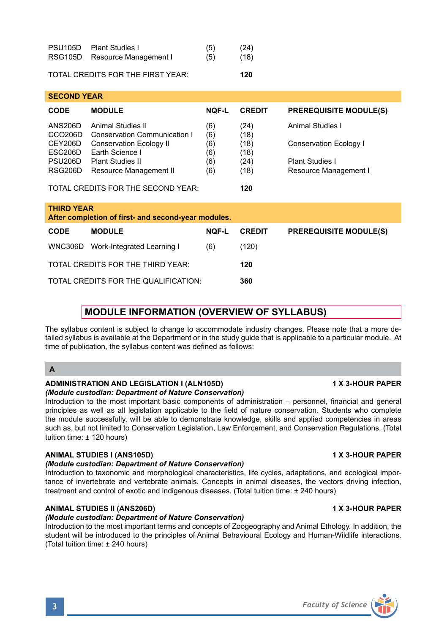| Faculty of Science<br>$\overline{\mathbf{3}}$ |  |
|-----------------------------------------------|--|
|                                               |  |
|                                               |  |

## **ANIMAL STUDIES II (ANS206D) 1 X 3-HOUR PAPER**

## *(Module custodian: Department of Nature Conservation)*

Introduction to the most important terms and concepts of Zoogeography and Animal Ethology. In addition, the student will be introduced to the principles of Animal Behavioural Ecology and Human-Wildlife interactions. (Total tuition time: ± 240 hours)

| <b>MODULE INFORMATION (OVERVIEW OF SYLLABUS)</b> |  |
|--------------------------------------------------|--|
|                                                  |  |

**CODE MODULE NQF-L CREDIT PREREQUISITE MODULE(S)**

The syllabus content is subject to change to accommodate industry changes. Please note that a more detailed syllabus is available at the Department or in the study guide that is applicable to a particular module. At time of publication, the syllabus content was defined as follows:

## **A**

**THIRD YEAR** 

## **ADMINISTRATION AND LEGISLATION I (ALN105D) 1 X 3-HOUR PAPER**

**After completion of first- and second-year modules.** 

WNC306D Work-Integrated Learning I (6) (120) TOTAL CREDITS FOR THE THIRD YEAR: **120** TOTAL CREDITS FOR THE QUALIFICATION: **360**

## *(Module custodian: Department of Nature Conservation)*

Introduction to the most important basic components of administration – personnel, financial and general principles as well as all legislation applicable to the field of nature conservation. Students who complete the module successfully, will be able to demonstrate knowledge, skills and applied competencies in areas such as, but not limited to Conservation Legislation, Law Enforcement, and Conservation Regulations. (Total tuition time: ± 120 hours)

## **ANIMAL STUDIES I (ANS105D) 1 X 3-HOUR PAPER**

## *(Module custodian: Department of Nature Conservation)*

Introduction to taxonomic and morphological characteristics, life cycles, adaptations, and ecological importance of invertebrate and vertebrate animals. Concepts in animal diseases, the vectors driving infection, treatment and control of exotic and indigenous diseases. (Total tuition time: ± 240 hours)

| <b>SECOND YEAR</b>                        |                              |              |               |                               |
|-------------------------------------------|------------------------------|--------------|---------------|-------------------------------|
| <b>CODE</b>                               | <b>MODULE</b>                | <b>NOF-L</b> | <b>CREDIT</b> | <b>PREREQUISITE MODULE(S)</b> |
| <b>ANS206D</b>                            | Animal Studies II            | (6)          | (24)          | Animal Studies I              |
| CCO <sub>206</sub> D                      | Conservation Communication I | (6)          | (18)          |                               |
| CEY206D                                   | Conservation Ecology II      | (6)          | (18)          | Conservation Ecology I        |
| ESC206D                                   | Earth Science I              | (6)          | (18)          |                               |
| PSU <sub>206</sub> D                      | <b>Plant Studies II</b>      | (6)          | (24)          | Plant Studies I               |
| RSG206D                                   | Resource Management II       | (6)          | (18)          | Resource Management I         |
|                                           |                              |              |               |                               |
| TOTAL CREDITS FOR THE SECOND YEAR:<br>120 |                              |              |               |                               |

| PSU105D Plant Studies I       | (5) | (24) |
|-------------------------------|-----|------|
| RSG105D Resource Management I | (5) | (18) |

## TOTAL CREDITS FOR THE FIRST YEAR: **120**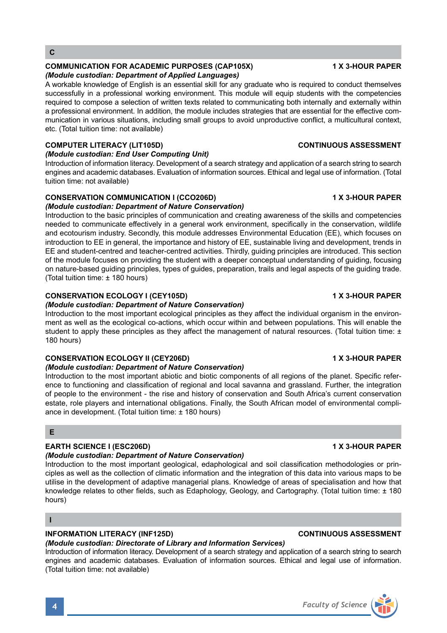## **COMMUNICATION FOR ACADEMIC PURPOSES (CAP105X) 1 X 3-HOUR PAPER**

## *(Module custodian: Department of Applied Languages)*

A workable knowledge of English is an essential skill for any graduate who is required to conduct themselves successfully in a professional working environment. This module will equip students with the competencies required to compose a selection of written texts related to communicating both internally and externally within a professional environment. In addition, the module includes strategies that are essential for the effective communication in various situations, including small groups to avoid unproductive conflict, a multicultural context, etc. (Total tuition time: not available)

## **COMPUTER LITERACY (LIT105D) CONTINUOUS ASSESSMENT**

## *(Module custodian: End User Computing Unit)*

Introduction of information literacy. Development of a search strategy and application of a search string to search engines and academic databases. Evaluation of information sources. Ethical and legal use of information. (Total tuition time: not available)

## **CONSERVATION COMMUNICATION I (CCO206D) 1 X 3-HOUR PAPER** *(Module custodian: Department of Nature Conservation)*

Introduction to the basic principles of communication and creating awareness of the skills and competencies needed to communicate effectively in a general work environment, specifically in the conservation, wildlife and ecotourism industry. Secondly, this module addresses Environmental Education (EE), which focuses on introduction to EE in general, the importance and history of EE, sustainable living and development, trends in EE and student-centred and teacher-centred activities. Thirdly, guiding principles are introduced. This section of the module focuses on providing the student with a deeper conceptual understanding of guiding, focusing on nature-based guiding principles, types of guides, preparation, trails and legal aspects of the guiding trade. (Total tuition time: ± 180 hours)

## **CONSERVATION ECOLOGY I (CEY105D)** 1 1 A 3-HOUR PAPER

## *(Module custodian: Department of Nature Conservation)*

Introduction to the most important ecological principles as they affect the individual organism in the environment as well as the ecological co-actions, which occur within and between populations. This will enable the student to apply these principles as they affect the management of natural resources. (Total tuition time: ± 180 hours)

## **CONSERVATION ECOLOGY II (CEY206D) 1 X 3-HOUR PAPER**

## *(Module custodian: Department of Nature Conservation)*

Introduction to the most important abiotic and biotic components of all regions of the planet. Specific reference to functioning and classification of regional and local savanna and grassland. Further, the integration of people to the environment - the rise and history of conservation and South Africa's current conservation estate, role players and international obligations. Finally, the South African model of environmental compliance in development. (Total tuition time: ± 180 hours)

## **E**

## **EARTH SCIENCE I (ESC206D) 1 X 3-HOUR PAPER**

## *(Module custodian: Department of Nature Conservation)*

Introduction to the most important geological, edaphological and soil classification methodologies or principles as well as the collection of climatic information and the integration of this data into various maps to be utilise in the development of adaptive managerial plans. Knowledge of areas of specialisation and how that knowledge relates to other fields, such as Edaphology, Geology, and Cartography. (Total tuition time: ± 180 hours)

**I**

## **INFORMATION LITERACY (INF125D) CONTINUOUS ASSESSMENT**

## *(Module custodian: Directorate of Library and Information Services)*

Introduction of information literacy. Development of a search strategy and application of a search string to search engines and academic databases. Evaluation of information sources. Ethical and legal use of information. (Total tuition time: not available)